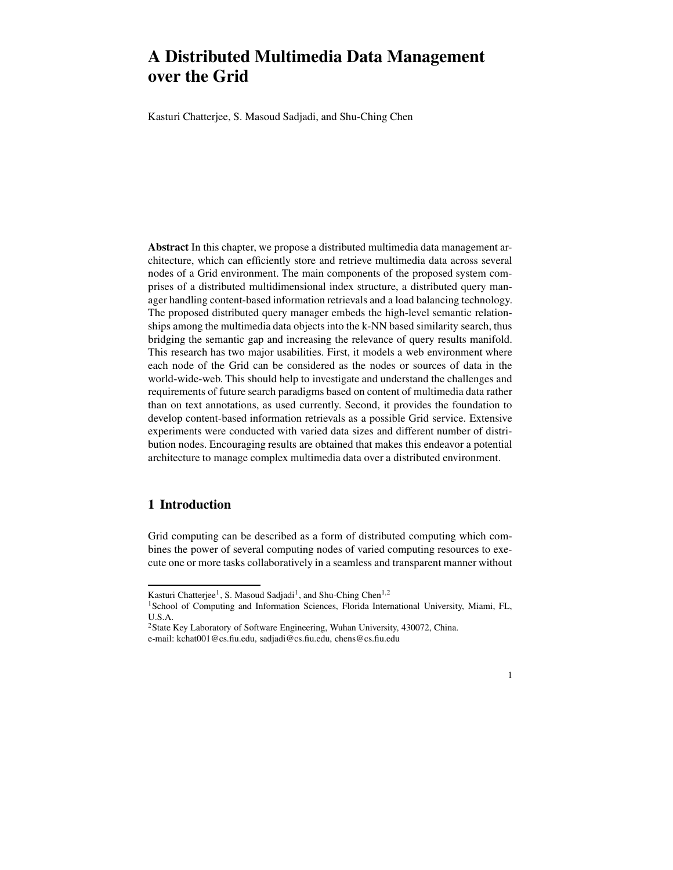# **A Distributed Multimedia Data Management over the Grid**

Kasturi Chatterjee, S. Masoud Sadjadi, and Shu-Ching Chen

**Abstract** In this chapter, we propose a distributed multimedia data management architecture, which can efficiently store and retrieve multimedia data across several nodes of a Grid environment. The main components of the proposed system comprises of a distributed multidimensional index structure, a distributed query manager handling content-based information retrievals and a load balancing technology. The proposed distributed query manager embeds the high-level semantic relationships among the multimedia data objects into the k-NN based similarity search, thus bridging the semantic gap and increasing the relevance of query results manifold. This research has two major usabilities. First, it models a web environment where each node of the Grid can be considered as the nodes or sources of data in the world-wide-web. This should help to investigate and understand the challenges and requirements of future search paradigms based on content of multimedia data rather than on text annotations, as used currently. Second, it provides the foundation to develop content-based information retrievals as a possible Grid service. Extensive experiments were conducted with varied data sizes and different number of distribution nodes. Encouraging results are obtained that makes this endeavor a potential architecture to manage complex multimedia data over a distributed environment.

# **1 Introduction**

Grid computing can be described as a form of distributed computing which combines the power of several computing nodes of varied computing resources to execute one or more tasks collaboratively in a seamless and transparent manner without

1

Kasturi Chatterjee<sup>1</sup>, S. Masoud Sadjadi<sup>1</sup>, and Shu-Ching Chen<sup>1,2</sup>

<sup>&</sup>lt;sup>1</sup>School of Computing and Information Sciences, Florida International University, Miami, FL, U.S.A.

<sup>2</sup>State Key Laboratory of Software Engineering, Wuhan University, 430072, China.

e-mail: kchat001@cs.fiu.edu, sadjadi@cs.fiu.edu, chens@cs.fiu.edu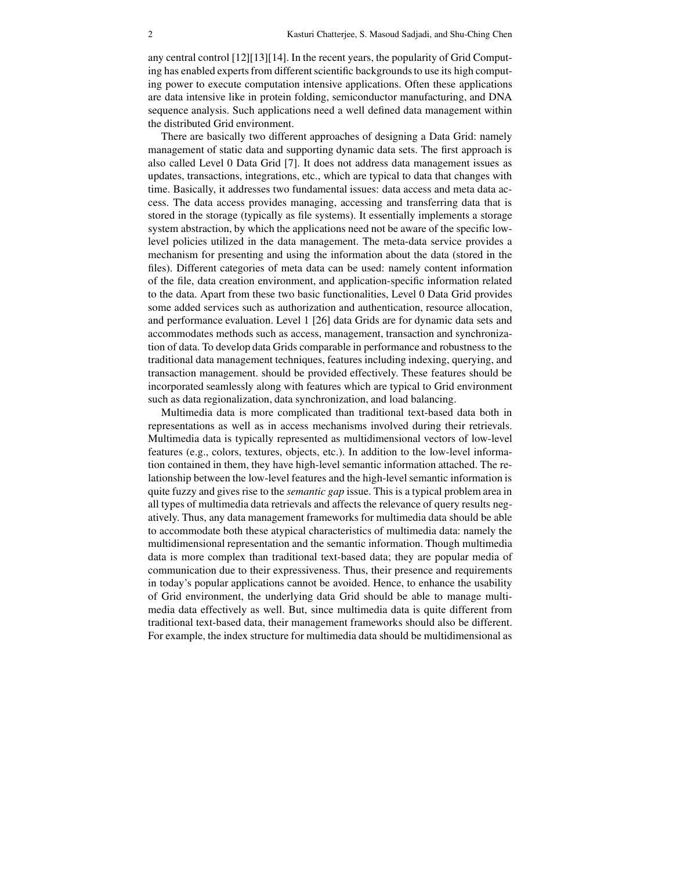any central control [12][13][14]. In the recent years, the popularity of Grid Computing has enabled experts from different scientific backgrounds to use its high computing power to execute computation intensive applications. Often these applications are data intensive like in protein folding, semiconductor manufacturing, and DNA sequence analysis. Such applications need a well defined data management within the distributed Grid environment.

There are basically two different approaches of designing a Data Grid: namely management of static data and supporting dynamic data sets. The first approach is also called Level 0 Data Grid [7]. It does not address data management issues as updates, transactions, integrations, etc., which are typical to data that changes with time. Basically, it addresses two fundamental issues: data access and meta data access. The data access provides managing, accessing and transferring data that is stored in the storage (typically as file systems). It essentially implements a storage system abstraction, by which the applications need not be aware of the specific lowlevel policies utilized in the data management. The meta-data service provides a mechanism for presenting and using the information about the data (stored in the files). Different categories of meta data can be used: namely content information of the file, data creation environment, and application-specific information related to the data. Apart from these two basic functionalities, Level 0 Data Grid provides some added services such as authorization and authentication, resource allocation, and performance evaluation. Level 1 [26] data Grids are for dynamic data sets and accommodates methods such as access, management, transaction and synchronization of data. To develop data Grids comparable in performance and robustness to the traditional data management techniques, features including indexing, querying, and transaction management. should be provided effectively. These features should be incorporated seamlessly along with features which are typical to Grid environment such as data regionalization, data synchronization, and load balancing.

Multimedia data is more complicated than traditional text-based data both in representations as well as in access mechanisms involved during their retrievals. Multimedia data is typically represented as multidimensional vectors of low-level features (e.g., colors, textures, objects, etc.). In addition to the low-level information contained in them, they have high-level semantic information attached. The relationship between the low-level features and the high-level semantic information is quite fuzzy and gives rise to the *semantic gap* issue. This is a typical problem area in all types of multimedia data retrievals and affects the relevance of query results negatively. Thus, any data management frameworks for multimedia data should be able to accommodate both these atypical characteristics of multimedia data: namely the multidimensional representation and the semantic information. Though multimedia data is more complex than traditional text-based data; they are popular media of communication due to their expressiveness. Thus, their presence and requirements in today's popular applications cannot be avoided. Hence, to enhance the usability of Grid environment, the underlying data Grid should be able to manage multimedia data effectively as well. But, since multimedia data is quite different from traditional text-based data, their management frameworks should also be different. For example, the index structure for multimedia data should be multidimensional as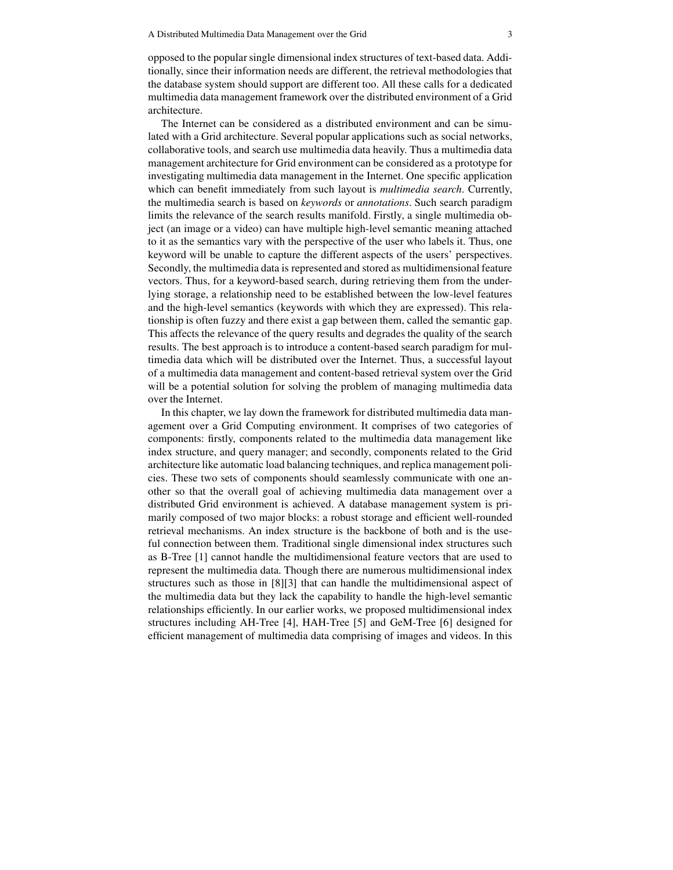opposed to the popularsingle dimensional index structures of text-based data. Additionally, since their information needs are different, the retrieval methodologies that the database system should support are different too. All these calls for a dedicated multimedia data management framework over the distributed environment of a Grid architecture.

The Internet can be considered as a distributed environment and can be simulated with a Grid architecture. Several popular applications such as social networks, collaborative tools, and search use multimedia data heavily. Thus a multimedia data management architecture for Grid environment can be considered as a prototype for investigating multimedia data management in the Internet. One specific application which can benefit immediately from such layout is *multimedia search*. Currently, the multimedia search is based on *keywords* or *annotations*. Such search paradigm limits the relevance of the search results manifold. Firstly, a single multimedia object (an image or a video) can have multiple high-level semantic meaning attached to it as the semantics vary with the perspective of the user who labels it. Thus, one keyword will be unable to capture the different aspects of the users' perspectives. Secondly, the multimedia data is represented and stored as multidimensional feature vectors. Thus, for a keyword-based search, during retrieving them from the underlying storage, a relationship need to be established between the low-level features and the high-level semantics (keywords with which they are expressed). This relationship is often fuzzy and there exist a gap between them, called the semantic gap. This affects the relevance of the query results and degrades the quality of the search results. The best approach is to introduce a content-based search paradigm for multimedia data which will be distributed over the Internet. Thus, a successful layout of a multimedia data management and content-based retrieval system over the Grid will be a potential solution for solving the problem of managing multimedia data over the Internet.

In this chapter, we lay down the framework for distributed multimedia data management over a Grid Computing environment. It comprises of two categories of components: firstly, components related to the multimedia data management like index structure, and query manager; and secondly, components related to the Grid architecture like automatic load balancing techniques, and replica management policies. These two sets of components should seamlessly communicate with one another so that the overall goal of achieving multimedia data management over a distributed Grid environment is achieved. A database management system is primarily composed of two major blocks: a robust storage and efficient well-rounded retrieval mechanisms. An index structure is the backbone of both and is the useful connection between them. Traditional single dimensional index structures such as B-Tree [1] cannot handle the multidimensional feature vectors that are used to represent the multimedia data. Though there are numerous multidimensional index structures such as those in [8][3] that can handle the multidimensional aspect of the multimedia data but they lack the capability to handle the high-level semantic relationships efficiently. In our earlier works, we proposed multidimensional index structures including AH-Tree [4], HAH-Tree [5] and GeM-Tree [6] designed for efficient management of multimedia data comprising of images and videos. In this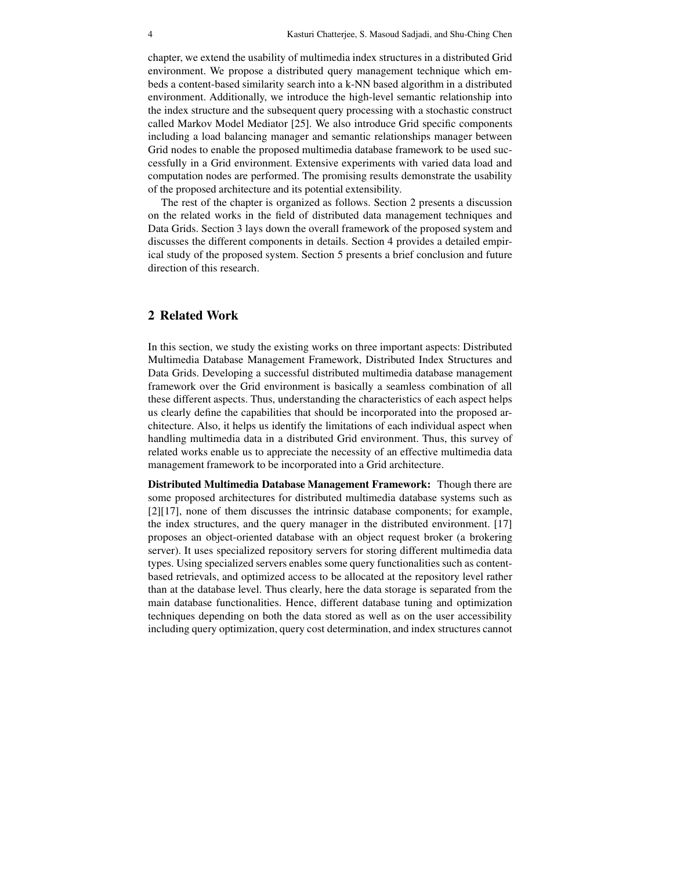chapter, we extend the usability of multimedia index structures in a distributed Grid environment. We propose a distributed query management technique which embeds a content-based similarity search into a k-NN based algorithm in a distributed environment. Additionally, we introduce the high-level semantic relationship into the index structure and the subsequent query processing with a stochastic construct called Markov Model Mediator [25]. We also introduce Grid specific components including a load balancing manager and semantic relationships manager between Grid nodes to enable the proposed multimedia database framework to be used successfully in a Grid environment. Extensive experiments with varied data load and computation nodes are performed. The promising results demonstrate the usability of the proposed architecture and its potential extensibility.

The rest of the chapter is organized as follows. Section 2 presents a discussion on the related works in the field of distributed data management techniques and Data Grids. Section 3 lays down the overall framework of the proposed system and discusses the different components in details. Section 4 provides a detailed empirical study of the proposed system. Section 5 presents a brief conclusion and future direction of this research.

## **2 Related Work**

In this section, we study the existing works on three important aspects: Distributed Multimedia Database Management Framework, Distributed Index Structures and Data Grids. Developing a successful distributed multimedia database management framework over the Grid environment is basically a seamless combination of all these different aspects. Thus, understanding the characteristics of each aspect helps us clearly define the capabilities that should be incorporated into the proposed architecture. Also, it helps us identify the limitations of each individual aspect when handling multimedia data in a distributed Grid environment. Thus, this survey of related works enable us to appreciate the necessity of an effective multimedia data management framework to be incorporated into a Grid architecture.

**Distributed Multimedia Database Management Framework:** Though there are some proposed architectures for distributed multimedia database systems such as [2][17], none of them discusses the intrinsic database components; for example, the index structures, and the query manager in the distributed environment. [17] proposes an object-oriented database with an object request broker (a brokering server). It uses specialized repository servers for storing different multimedia data types. Using specialized servers enables some query functionalities such as contentbased retrievals, and optimized access to be allocated at the repository level rather than at the database level. Thus clearly, here the data storage is separated from the main database functionalities. Hence, different database tuning and optimization techniques depending on both the data stored as well as on the user accessibility including query optimization, query cost determination, and index structures cannot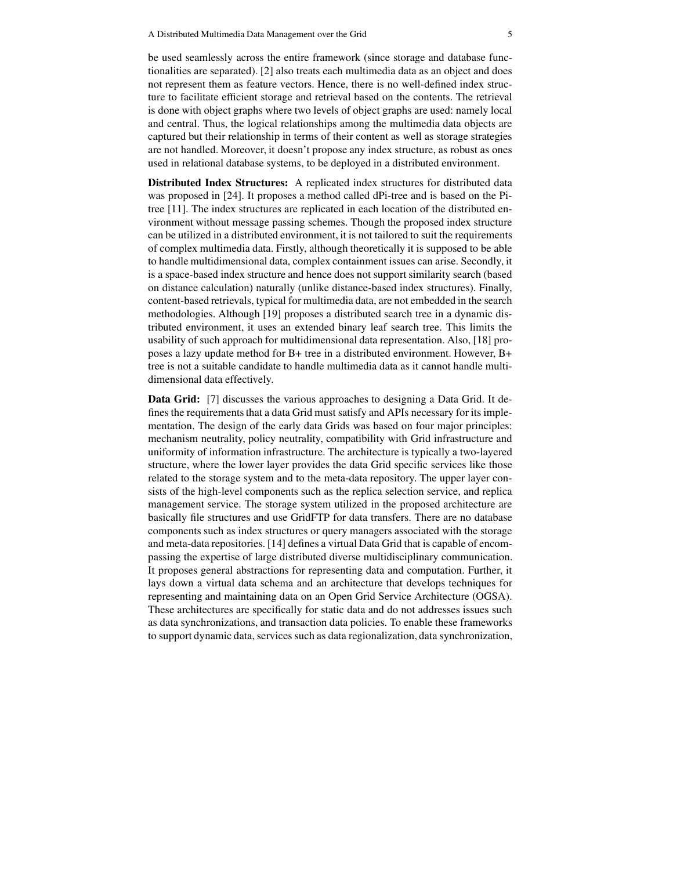be used seamlessly across the entire framework (since storage and database functionalities are separated). [2] also treats each multimedia data as an object and does not represent them as feature vectors. Hence, there is no well-defined index structure to facilitate efficient storage and retrieval based on the contents. The retrieval is done with object graphs where two levels of object graphs are used: namely local and central. Thus, the logical relationships among the multimedia data objects are captured but their relationship in terms of their content as well as storage strategies are not handled. Moreover, it doesn't propose any index structure, as robust as ones used in relational database systems, to be deployed in a distributed environment.

**Distributed Index Structures:** A replicated index structures for distributed data was proposed in [24]. It proposes a method called dPi-tree and is based on the Pitree [11]. The index structures are replicated in each location of the distributed environment without message passing schemes. Though the proposed index structure can be utilized in a distributed environment, it is not tailored to suit the requirements of complex multimedia data. Firstly, although theoretically it is supposed to be able to handle multidimensional data, complex containment issues can arise. Secondly, it is a space-based index structure and hence does not support similarity search (based on distance calculation) naturally (unlike distance-based index structures). Finally, content-based retrievals, typical for multimedia data, are not embedded in the search methodologies. Although [19] proposes a distributed search tree in a dynamic distributed environment, it uses an extended binary leaf search tree. This limits the usability of such approach for multidimensional data representation. Also, [18] proposes a lazy update method for B+ tree in a distributed environment. However, B+ tree is not a suitable candidate to handle multimedia data as it cannot handle multidimensional data effectively.

**Data Grid:** [7] discusses the various approaches to designing a Data Grid. It defines the requirements that a data Grid must satisfy and APIs necessary for its implementation. The design of the early data Grids was based on four major principles: mechanism neutrality, policy neutrality, compatibility with Grid infrastructure and uniformity of information infrastructure. The architecture is typically a two-layered structure, where the lower layer provides the data Grid specific services like those related to the storage system and to the meta-data repository. The upper layer consists of the high-level components such as the replica selection service, and replica management service. The storage system utilized in the proposed architecture are basically file structures and use GridFTP for data transfers. There are no database components such as index structures or query managers associated with the storage and meta-data repositories. [14] defines a virtual Data Grid that is capable of encompassing the expertise of large distributed diverse multidisciplinary communication. It proposes general abstractions for representing data and computation. Further, it lays down a virtual data schema and an architecture that develops techniques for representing and maintaining data on an Open Grid Service Architecture (OGSA). These architectures are specifically for static data and do not addresses issues such as data synchronizations, and transaction data policies. To enable these frameworks to support dynamic data, services such as data regionalization, data synchronization,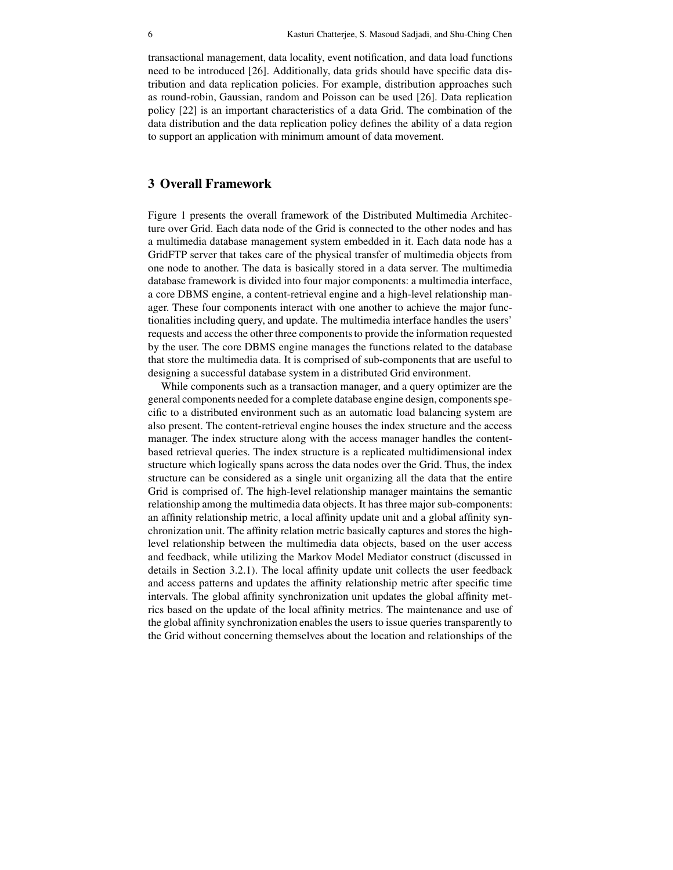transactional management, data locality, event notification, and data load functions need to be introduced [26]. Additionally, data grids should have specific data distribution and data replication policies. For example, distribution approaches such as round-robin, Gaussian, random and Poisson can be used [26]. Data replication policy [22] is an important characteristics of a data Grid. The combination of the data distribution and the data replication policy defines the ability of a data region to support an application with minimum amount of data movement.

## **3 Overall Framework**

Figure 1 presents the overall framework of the Distributed Multimedia Architecture over Grid. Each data node of the Grid is connected to the other nodes and has a multimedia database management system embedded in it. Each data node has a GridFTP server that takes care of the physical transfer of multimedia objects from one node to another. The data is basically stored in a data server. The multimedia database framework is divided into four major components: a multimedia interface, a core DBMS engine, a content-retrieval engine and a high-level relationship manager. These four components interact with one another to achieve the major functionalities including query, and update. The multimedia interface handles the users' requests and access the other three componentsto provide the information requested by the user. The core DBMS engine manages the functions related to the database that store the multimedia data. It is comprised of sub-components that are useful to designing a successful database system in a distributed Grid environment.

While components such as a transaction manager, and a query optimizer are the general components needed for a complete database engine design, componentsspecific to a distributed environment such as an automatic load balancing system are also present. The content-retrieval engine houses the index structure and the access manager. The index structure along with the access manager handles the contentbased retrieval queries. The index structure is a replicated multidimensional index structure which logically spans across the data nodes over the Grid. Thus, the index structure can be considered as a single unit organizing all the data that the entire Grid is comprised of. The high-level relationship manager maintains the semantic relationship among the multimedia data objects. It has three major sub-components: an affinity relationship metric, a local affinity update unit and a global affinity synchronization unit. The affinity relation metric basically captures and stores the highlevel relationship between the multimedia data objects, based on the user access and feedback, while utilizing the Markov Model Mediator construct (discussed in details in Section 3.2.1). The local affinity update unit collects the user feedback and access patterns and updates the affinity relationship metric after specific time intervals. The global affinity synchronization unit updates the global affinity metrics based on the update of the local affinity metrics. The maintenance and use of the global affinity synchronization enables the users to issue queries transparently to the Grid without concerning themselves about the location and relationships of the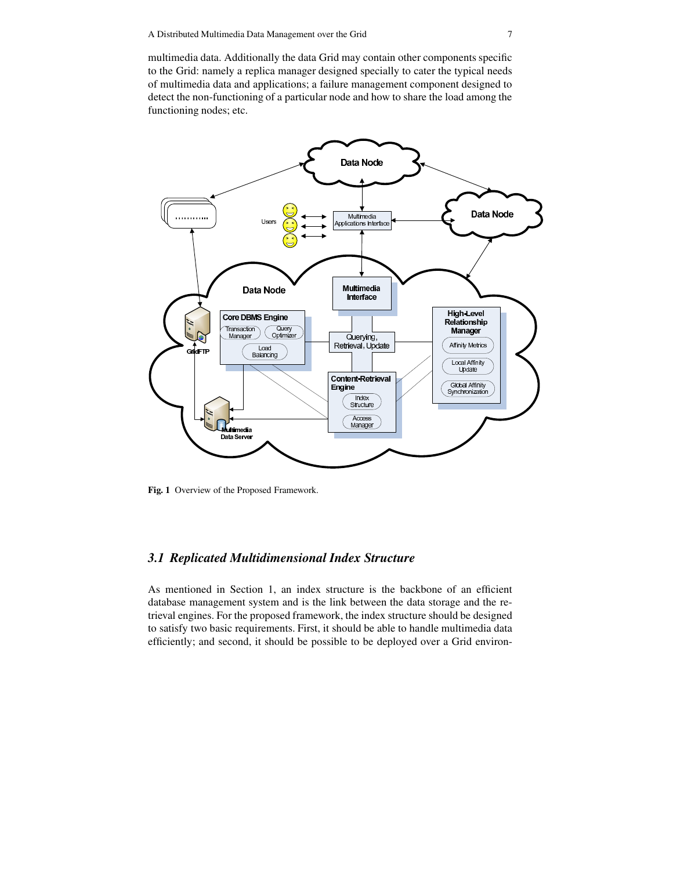multimedia data. Additionally the data Grid may contain other components specific to the Grid: namely a replica manager designed specially to cater the typical needs of multimedia data and applications; a failure management component designed to detect the non-functioning of a particular node and how to share the load among the functioning nodes; etc.



**Fig. 1** Overview of the Proposed Framework.

# *3.1 Replicated Multidimensional Index Structure*

As mentioned in Section 1, an index structure is the backbone of an efficient database management system and is the link between the data storage and the retrieval engines. For the proposed framework, the index structure should be designed to satisfy two basic requirements. First, it should be able to handle multimedia data efficiently; and second, it should be possible to be deployed over a Grid environ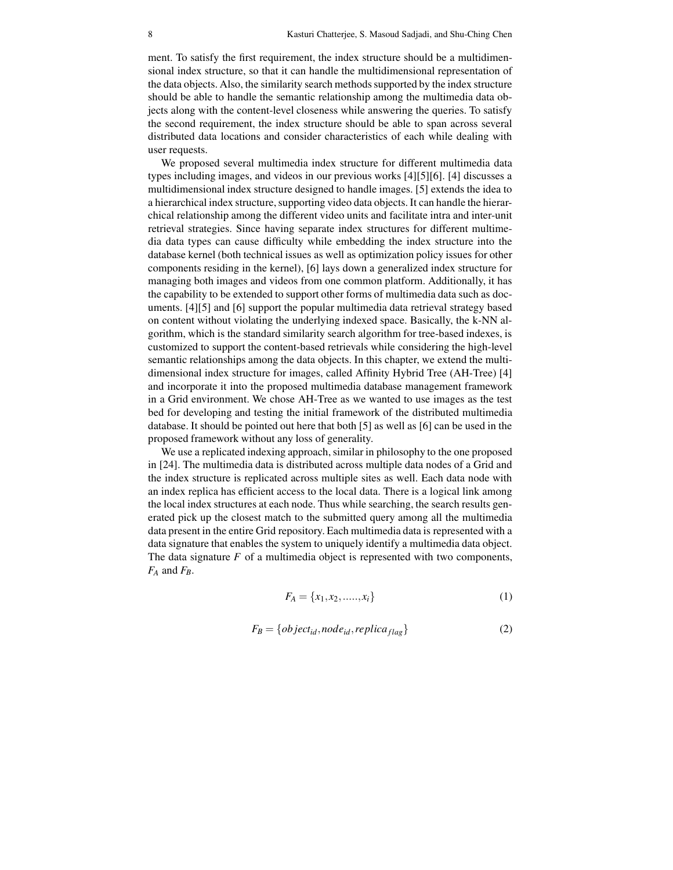ment. To satisfy the first requirement, the index structure should be a multidimensional index structure, so that it can handle the multidimensional representation of the data objects. Also, the similarity search methods supported by the index structure should be able to handle the semantic relationship among the multimedia data objects along with the content-level closeness while answering the queries. To satisfy the second requirement, the index structure should be able to span across several distributed data locations and consider characteristics of each while dealing with user requests.

We proposed several multimedia index structure for different multimedia data types including images, and videos in our previous works [4][5][6]. [4] discusses a multidimensional index structure designed to handle images. [5] extends the idea to a hierarchical index structure, supporting video data objects. It can handle the hierarchical relationship among the different video units and facilitate intra and inter-unit retrieval strategies. Since having separate index structures for different multimedia data types can cause difficulty while embedding the index structure into the database kernel (both technical issues as well as optimization policy issues for other components residing in the kernel), [6] lays down a generalized index structure for managing both images and videos from one common platform. Additionally, it has the capability to be extended to support other forms of multimedia data such as documents. [4][5] and [6] support the popular multimedia data retrieval strategy based on content without violating the underlying indexed space. Basically, the k-NN algorithm, which is the standard similarity search algorithm for tree-based indexes, is customized to support the content-based retrievals while considering the high-level semantic relationships among the data objects. In this chapter, we extend the multidimensional index structure for images, called Affinity Hybrid Tree (AH-Tree) [4] and incorporate it into the proposed multimedia database management framework in a Grid environment. We chose AH-Tree as we wanted to use images as the test bed for developing and testing the initial framework of the distributed multimedia database. It should be pointed out here that both [5] as well as [6] can be used in the proposed framework without any loss of generality.

We use a replicated indexing approach, similar in philosophy to the one proposed in [24]. The multimedia data is distributed across multiple data nodes of a Grid and the index structure is replicated across multiple sites as well. Each data node with an index replica has efficient access to the local data. There is a logical link among the local index structures at each node. Thus while searching, the search results generated pick up the closest match to the submitted query among all the multimedia data present in the entire Grid repository. Each multimedia data is represented with a data signature that enables the system to uniquely identify a multimedia data object. The data signature *F* of a multimedia object is represented with two components,  $F_A$  and  $F_B$ .

$$
F_A = \{x_1, x_2, \dots, x_i\} \tag{1}
$$

$$
F_B = \{object_{id}, node_{id}, replica_{flag}\}\tag{2}
$$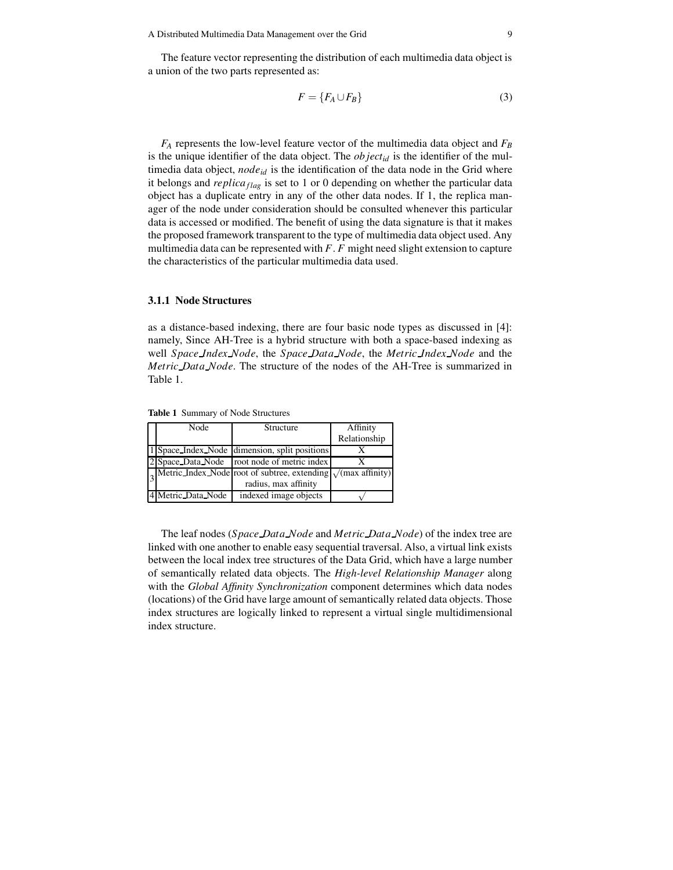The feature vector representing the distribution of each multimedia data object is a union of the two parts represented as:

$$
F = \{F_A \cup F_B\} \tag{3}
$$

*F<sup>A</sup>* represents the low-level feature vector of the multimedia data object and *F<sup>B</sup>* is the unique identifier of the data object. The *object<sub>id</sub>* is the identifier of the multimedia data object, *nodeid* is the identification of the data node in the Grid where it belongs and *replica*<sub>*flag*</sub> is set to 1 or 0 depending on whether the particular data object has a duplicate entry in any of the other data nodes. If 1, the replica manager of the node under consideration should be consulted whenever this particular data is accessed or modified. The benefit of using the data signature is that it makes the proposed framework transparent to the type of multimedia data object used. Any multimedia data can be represented with *F*. *F* might need slight extension to capture the characteristics of the particular multimedia data used.

#### **3.1.1 Node Structures**

as a distance-based indexing, there are four basic node types as discussed in [4]: namely, Since AH-Tree is a hybrid structure with both a space-based indexing as well *Space Index Node*, the *Space Data Node*, the *Metric Index Node* and the *Metric Data Node*. The structure of the nodes of the AH-Tree is summarized in Table 1.

**Table 1** Summary of Node Structures

| Node               | Structure                                                                                                      | Affinity     |
|--------------------|----------------------------------------------------------------------------------------------------------------|--------------|
|                    |                                                                                                                | Relationship |
|                    | 1 Space Index Node dimension, split positions                                                                  |              |
| 2 Space Data Node  | root node of metric index                                                                                      |              |
|                    | $\sqrt{2}$ Metric Index Node root of subtree, extending $\sqrt{\text{(max affinity)}}$<br>radius, max affinity |              |
| 4 Metric Data Node | indexed image objects                                                                                          |              |

The leaf nodes (*Space Data Node* and *Metric Data Node*) of the index tree are linked with one another to enable easy sequential traversal. Also, a virtual link exists between the local index tree structures of the Data Grid, which have a large number of semantically related data objects. The *High-level Relationship Manager* along with the *Global Affinity Synchronization* component determines which data nodes (locations) of the Grid have large amount of semantically related data objects. Those index structures are logically linked to represent a virtual single multidimensional index structure.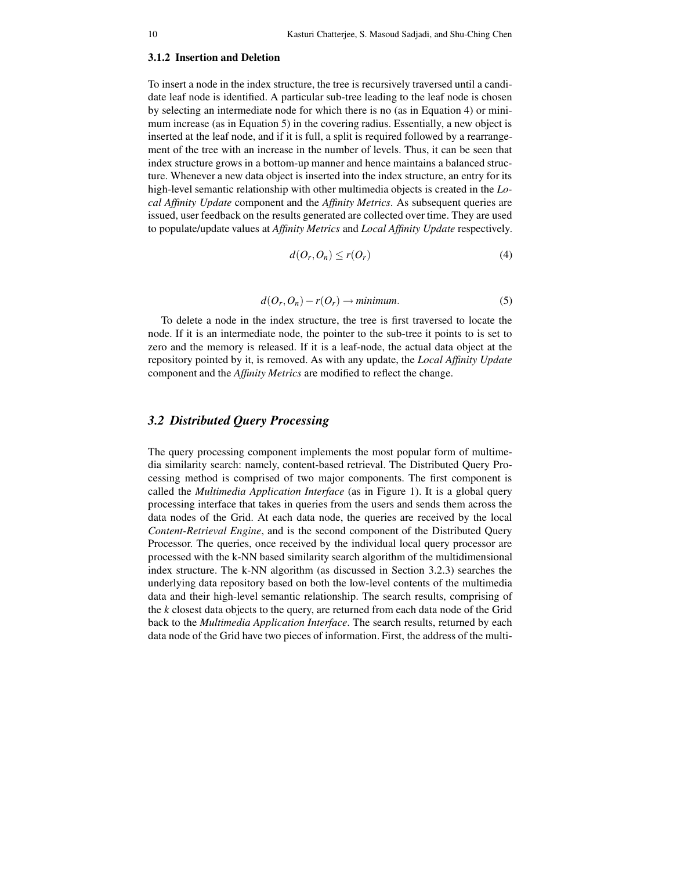#### **3.1.2 Insertion and Deletion**

To insert a node in the index structure, the tree is recursively traversed until a candidate leaf node is identified. A particular sub-tree leading to the leaf node is chosen by selecting an intermediate node for which there is no (as in Equation 4) or minimum increase (as in Equation 5) in the covering radius. Essentially, a new object is inserted at the leaf node, and if it is full, a split is required followed by a rearrangement of the tree with an increase in the number of levels. Thus, it can be seen that index structure grows in a bottom-up manner and hence maintains a balanced structure. Whenever a new data object is inserted into the index structure, an entry for its high-level semantic relationship with other multimedia objects is created in the *Local Affinity Update* component and the *Affinity Metrics*. As subsequent queries are issued, user feedback on the results generated are collected over time. They are used to populate/update values at *Affinity Metrics* and *Local Affinity Update* respectively.

$$
d(O_r, O_n) \le r(O_r) \tag{4}
$$

$$
d(O_r, O_n) - r(O_r) \to minimum. \tag{5}
$$

To delete a node in the index structure, the tree is first traversed to locate the node. If it is an intermediate node, the pointer to the sub-tree it points to is set to zero and the memory is released. If it is a leaf-node, the actual data object at the repository pointed by it, is removed. As with any update, the *Local Affinity Update* component and the *Affinity Metrics* are modified to reflect the change.

## *3.2 Distributed Query Processing*

The query processing component implements the most popular form of multimedia similarity search: namely, content-based retrieval. The Distributed Query Processing method is comprised of two major components. The first component is called the *Multimedia Application Interface* (as in Figure 1). It is a global query processing interface that takes in queries from the users and sends them across the data nodes of the Grid. At each data node, the queries are received by the local *Content-Retrieval Engine*, and is the second component of the Distributed Query Processor. The queries, once received by the individual local query processor are processed with the k-NN based similarity search algorithm of the multidimensional index structure. The k-NN algorithm (as discussed in Section 3.2.3) searches the underlying data repository based on both the low-level contents of the multimedia data and their high-level semantic relationship. The search results, comprising of the *k* closest data objects to the query, are returned from each data node of the Grid back to the *Multimedia Application Interface*. The search results, returned by each data node of the Grid have two pieces of information. First, the address of the multi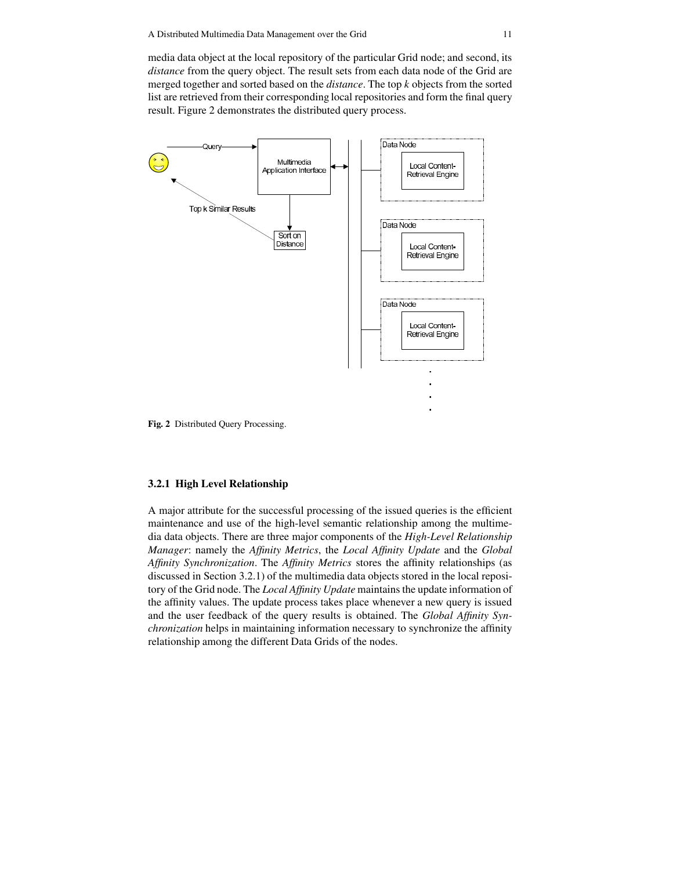media data object at the local repository of the particular Grid node; and second, its *distance* from the query object. The result sets from each data node of the Grid are merged together and sorted based on the *distance*. The top *k* objects from the sorted list are retrieved from their corresponding local repositories and form the final query result. Figure 2 demonstrates the distributed query process.



**Fig. 2** Distributed Query Processing.

#### **3.2.1 High Level Relationship**

A major attribute for the successful processing of the issued queries is the efficient maintenance and use of the high-level semantic relationship among the multimedia data objects. There are three major components of the *High-Level Relationship Manager*: namely the *Affinity Metrics*, the *Local Affinity Update* and the *Global Affinity Synchronization*. The *Affinity Metrics* stores the affinity relationships (as discussed in Section 3.2.1) of the multimedia data objects stored in the local repository of the Grid node. The *Local Affinity Update* maintains the update information of the affinity values. The update process takes place whenever a new query is issued and the user feedback of the query results is obtained. The *Global Affinity Synchronization* helps in maintaining information necessary to synchronize the affinity relationship among the different Data Grids of the nodes.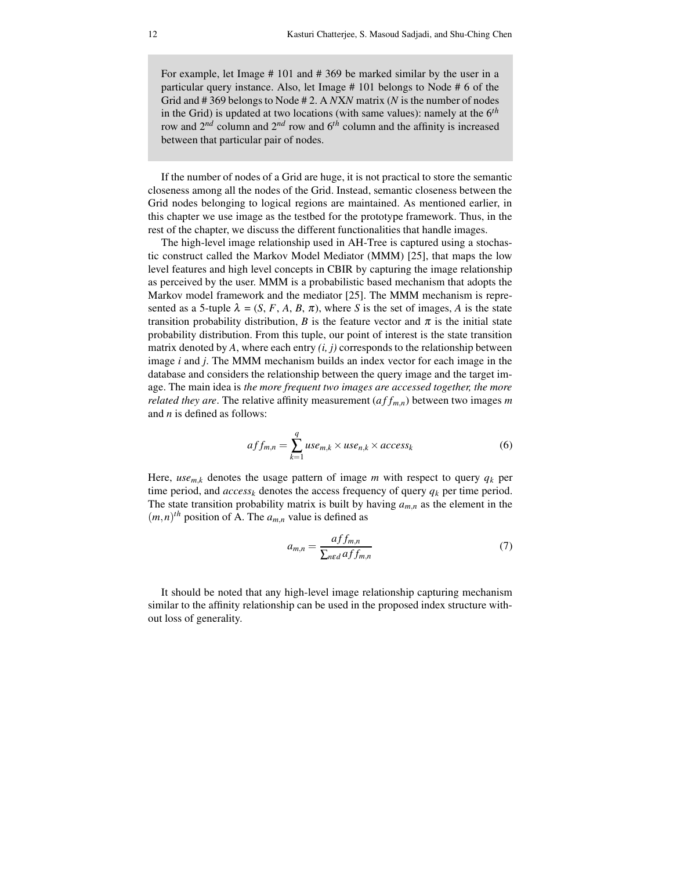For example, let Image # 101 and # 369 be marked similar by the user in a particular query instance. Also, let Image # 101 belongs to Node # 6 of the Grid and # 369 belongs to Node # 2. A *N*X*N* matrix (*N* is the number of nodes in the Grid) is updated at two locations (with same values): namely at the 6 *th* row and  $2^{nd}$  column and  $2^{nd}$  row and  $6^{th}$  column and the affinity is increased between that particular pair of nodes.

If the number of nodes of a Grid are huge, it is not practical to store the semantic closeness among all the nodes of the Grid. Instead, semantic closeness between the Grid nodes belonging to logical regions are maintained. As mentioned earlier, in this chapter we use image as the testbed for the prototype framework. Thus, in the rest of the chapter, we discuss the different functionalities that handle images.

The high-level image relationship used in AH-Tree is captured using a stochastic construct called the Markov Model Mediator (MMM) [25], that maps the low level features and high level concepts in CBIR by capturing the image relationship as perceived by the user. MMM is a probabilistic based mechanism that adopts the Markov model framework and the mediator [25]. The MMM mechanism is represented as a 5-tuple  $\lambda = (S, F, A, B, \pi)$ , where *S* is the set of images, *A* is the state transition probability distribution, *B* is the feature vector and  $\pi$  is the initial state probability distribution. From this tuple, our point of interest is the state transition matrix denoted by  $A$ , where each entry  $(i, j)$  corresponds to the relationship between image *i* and *j*. The MMM mechanism builds an index vector for each image in the database and considers the relationship between the query image and the target image. The main idea is *the more frequent two images are accessed together, the more related they are.* The relative affinity measurement  $(aff_{m,n})$  between two images *m* and *n* is defined as follows:

$$
aff_{m,n} = \sum_{k=1}^{q} use_{m,k} \times use_{n,k} \times access_k
$$
 (6)

Here,  $use_{mk}$  denotes the usage pattern of image *m* with respect to query  $q_k$  per time period, and  $access_k$  denotes the access frequency of query  $q_k$  per time period. The state transition probability matrix is built by having  $a_{m,n}$  as the element in the  $(m, n)$ <sup>th</sup> position of A. The  $a_{m,n}$  value is defined as

$$
a_{m,n} = \frac{aff_{m,n}}{\sum_{ned} af_{m,n}}
$$
 (7)

It should be noted that any high-level image relationship capturing mechanism similar to the affinity relationship can be used in the proposed index structure without loss of generality.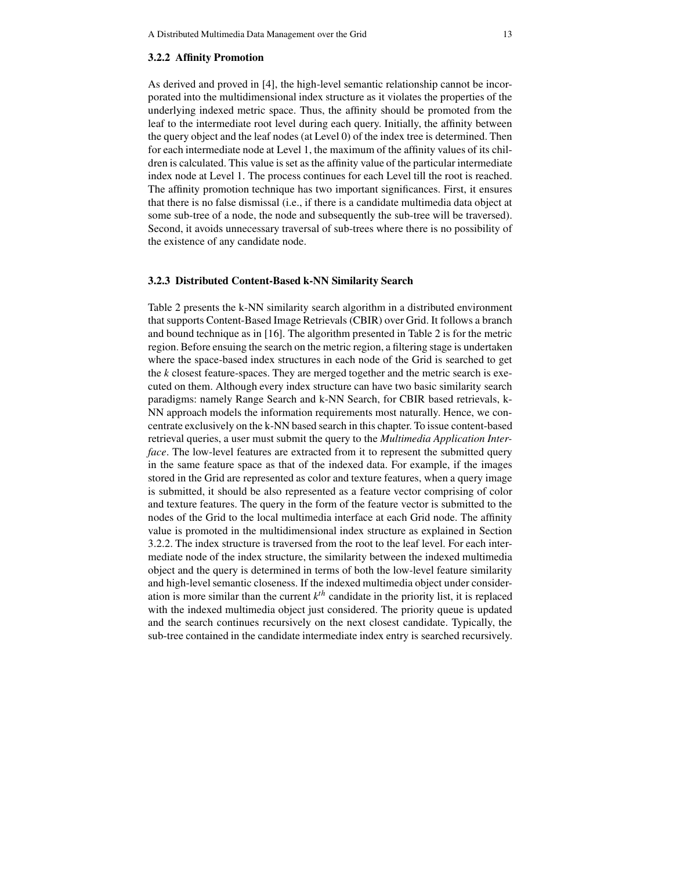#### **3.2.2 Affinity Promotion**

As derived and proved in [4], the high-level semantic relationship cannot be incorporated into the multidimensional index structure as it violates the properties of the underlying indexed metric space. Thus, the affinity should be promoted from the leaf to the intermediate root level during each query. Initially, the affinity between the query object and the leaf nodes (at Level 0) of the index tree is determined. Then for each intermediate node at Level 1, the maximum of the affinity values of its children is calculated. This value is set as the affinity value of the particular intermediate index node at Level 1. The process continues for each Level till the root is reached. The affinity promotion technique has two important significances. First, it ensures that there is no false dismissal (i.e., if there is a candidate multimedia data object at some sub-tree of a node, the node and subsequently the sub-tree will be traversed). Second, it avoids unnecessary traversal of sub-trees where there is no possibility of the existence of any candidate node.

#### **3.2.3 Distributed Content-Based k-NN Similarity Search**

Table 2 presents the k-NN similarity search algorithm in a distributed environment that supports Content-Based Image Retrievals (CBIR) over Grid. It follows a branch and bound technique as in [16]. The algorithm presented in Table 2 is for the metric region. Before ensuing the search on the metric region, a filtering stage is undertaken where the space-based index structures in each node of the Grid is searched to get the *k* closest feature-spaces. They are merged together and the metric search is executed on them. Although every index structure can have two basic similarity search paradigms: namely Range Search and k-NN Search, for CBIR based retrievals, k-NN approach models the information requirements most naturally. Hence, we concentrate exclusively on the k-NN based search in this chapter. To issue content-based retrieval queries, a user must submit the query to the *Multimedia Application Interface*. The low-level features are extracted from it to represent the submitted query in the same feature space as that of the indexed data. For example, if the images stored in the Grid are represented as color and texture features, when a query image is submitted, it should be also represented as a feature vector comprising of color and texture features. The query in the form of the feature vector is submitted to the nodes of the Grid to the local multimedia interface at each Grid node. The affinity value is promoted in the multidimensional index structure as explained in Section 3.2.2. The index structure is traversed from the root to the leaf level. For each intermediate node of the index structure, the similarity between the indexed multimedia object and the query is determined in terms of both the low-level feature similarity and high-level semantic closeness. If the indexed multimedia object under consideration is more similar than the current  $k<sup>th</sup>$  candidate in the priority list, it is replaced with the indexed multimedia object just considered. The priority queue is updated and the search continues recursively on the next closest candidate. Typically, the sub-tree contained in the candidate intermediate index entry is searched recursively.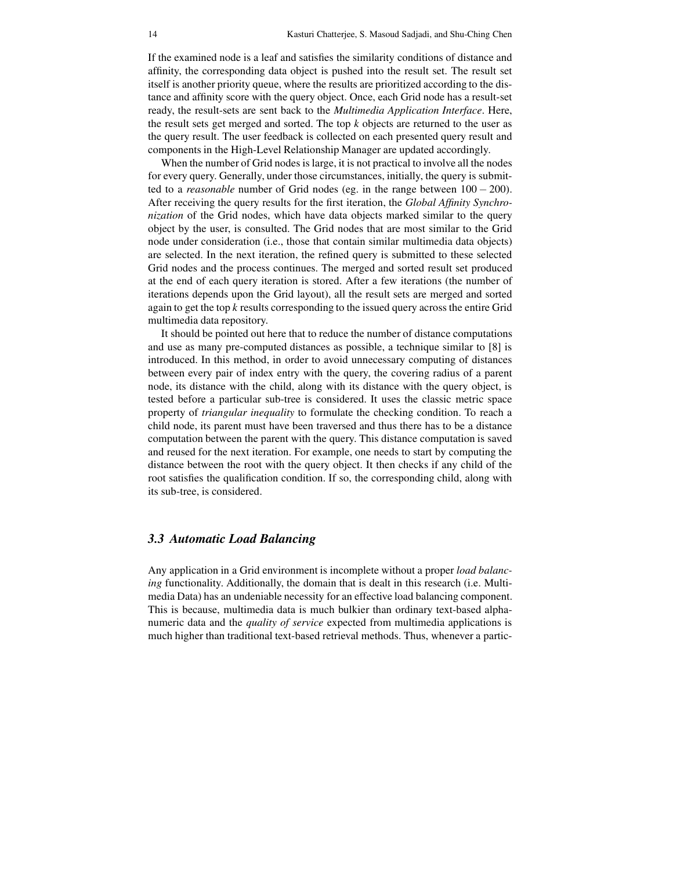If the examined node is a leaf and satisfies the similarity conditions of distance and affinity, the corresponding data object is pushed into the result set. The result set itself is another priority queue, where the results are prioritized according to the distance and affinity score with the query object. Once, each Grid node has a result-set ready, the result-sets are sent back to the *Multimedia Application Interface*. Here, the result sets get merged and sorted. The top *k* objects are returned to the user as the query result. The user feedback is collected on each presented query result and components in the High-Level Relationship Manager are updated accordingly.

When the number of Grid nodes is large, it is not practical to involve all the nodes for every query. Generally, under those circumstances, initially, the query is submitted to a *reasonable* number of Grid nodes (eg. in the range between  $100 - 200$ ). After receiving the query results for the first iteration, the *Global Affinity Synchronization* of the Grid nodes, which have data objects marked similar to the query object by the user, is consulted. The Grid nodes that are most similar to the Grid node under consideration (i.e., those that contain similar multimedia data objects) are selected. In the next iteration, the refined query is submitted to these selected Grid nodes and the process continues. The merged and sorted result set produced at the end of each query iteration is stored. After a few iterations (the number of iterations depends upon the Grid layout), all the result sets are merged and sorted again to get the top *k* results corresponding to the issued query across the entire Grid multimedia data repository.

It should be pointed out here that to reduce the number of distance computations and use as many pre-computed distances as possible, a technique similar to [8] is introduced. In this method, in order to avoid unnecessary computing of distances between every pair of index entry with the query, the covering radius of a parent node, its distance with the child, along with its distance with the query object, is tested before a particular sub-tree is considered. It uses the classic metric space property of *triangular inequality* to formulate the checking condition. To reach a child node, its parent must have been traversed and thus there has to be a distance computation between the parent with the query. This distance computation is saved and reused for the next iteration. For example, one needs to start by computing the distance between the root with the query object. It then checks if any child of the root satisfies the qualification condition. If so, the corresponding child, along with its sub-tree, is considered.

## *3.3 Automatic Load Balancing*

Any application in a Grid environment is incomplete without a proper *load balancing* functionality. Additionally, the domain that is dealt in this research (i.e. Multimedia Data) has an undeniable necessity for an effective load balancing component. This is because, multimedia data is much bulkier than ordinary text-based alphanumeric data and the *quality of service* expected from multimedia applications is much higher than traditional text-based retrieval methods. Thus, whenever a partic-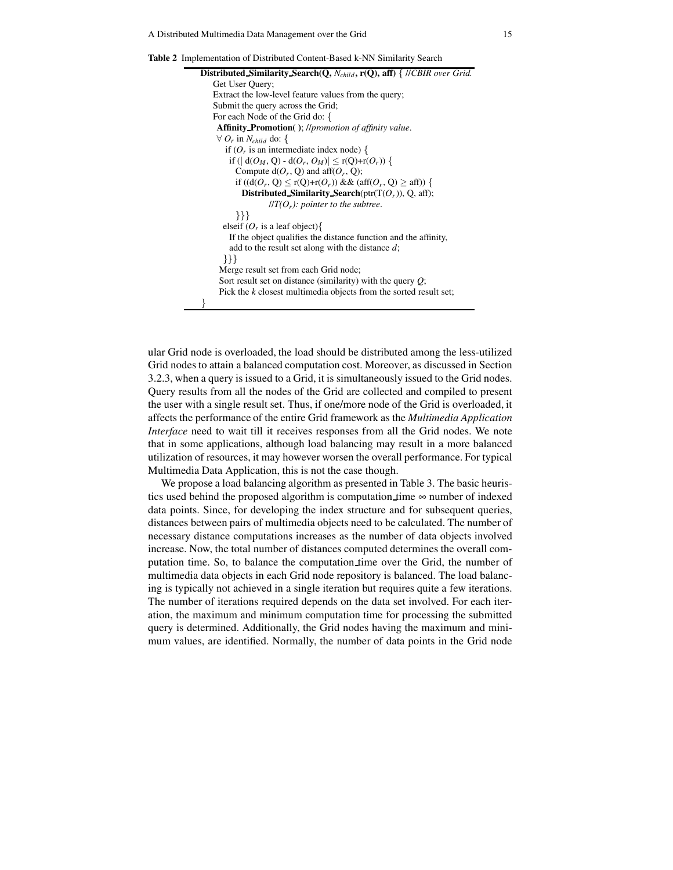**Table 2** Implementation of Distributed Content-Based k-NN Similarity Search

| <b>Distributed Similarity Search(Q,</b> $N_{child}$ , $\mathbf{r}(\mathbf{Q})$ , aff) { //CBIR over Grid. |  |  |  |
|-----------------------------------------------------------------------------------------------------------|--|--|--|
| Get User Query;                                                                                           |  |  |  |
| Extract the low-level feature values from the query;                                                      |  |  |  |
| Submit the query across the Grid;                                                                         |  |  |  |
| For each Node of the Grid do: $\{$                                                                        |  |  |  |
| <b>Affinity_Promotion();</b> //promotion of affinity value.                                               |  |  |  |
| $\forall$ O <sub>r</sub> in N <sub>child</sub> do: {                                                      |  |  |  |
| if $(O_r$ is an intermediate index node) {                                                                |  |  |  |
| if ( $  d(O_M, Q) - d(O_r, O_M)   \le r(Q) + r(O_r)$ ) {                                                  |  |  |  |
| Compute $d(O_r, Q)$ and aff $(O_r, Q)$ ;                                                                  |  |  |  |
| if $((d(O_r, Q) \le r(Q)+r(O_r))$ & & $(\text{aff}(O_r, Q) \ge \text{aff})$ {                             |  |  |  |
| Distributed Similarity Search( $ptr(T(O_r))$ , Q, aff);                                                   |  |  |  |
| $\ T(O_r):$ pointer to the subtree.                                                                       |  |  |  |
| $\{\}$                                                                                                    |  |  |  |
| elseif $(O_r$ is a leaf object) $\{$                                                                      |  |  |  |
| If the object qualifies the distance function and the affinity,                                           |  |  |  |
| add to the result set along with the distance $d$ ;                                                       |  |  |  |
| $\{\}$                                                                                                    |  |  |  |
| Merge result set from each Grid node;                                                                     |  |  |  |
| Sort result set on distance (similarity) with the query $Q$ ;                                             |  |  |  |
| Pick the k closest multimedia objects from the sorted result set;                                         |  |  |  |
|                                                                                                           |  |  |  |

ular Grid node is overloaded, the load should be distributed among the less-utilized Grid nodes to attain a balanced computation cost. Moreover, as discussed in Section 3.2.3, when a query is issued to a Grid, it is simultaneously issued to the Grid nodes. Query results from all the nodes of the Grid are collected and compiled to present the user with a single result set. Thus, if one/more node of the Grid is overloaded, it affects the performance of the entire Grid framework as the *Multimedia Application Interface* need to wait till it receives responses from all the Grid nodes. We note that in some applications, although load balancing may result in a more balanced utilization of resources, it may however worsen the overall performance. For typical Multimedia Data Application, this is not the case though.

We propose a load balancing algorithm as presented in Table 3. The basic heuristics used behind the proposed algorithm is computation time  $\infty$  number of indexed data points. Since, for developing the index structure and for subsequent queries, distances between pairs of multimedia objects need to be calculated. The number of necessary distance computations increases as the number of data objects involved increase. Now, the total number of distances computed determines the overall computation time. So, to balance the computation time over the Grid, the number of multimedia data objects in each Grid node repository is balanced. The load balancing is typically not achieved in a single iteration but requires quite a few iterations. The number of iterations required depends on the data set involved. For each iteration, the maximum and minimum computation time for processing the submitted query is determined. Additionally, the Grid nodes having the maximum and minimum values, are identified. Normally, the number of data points in the Grid node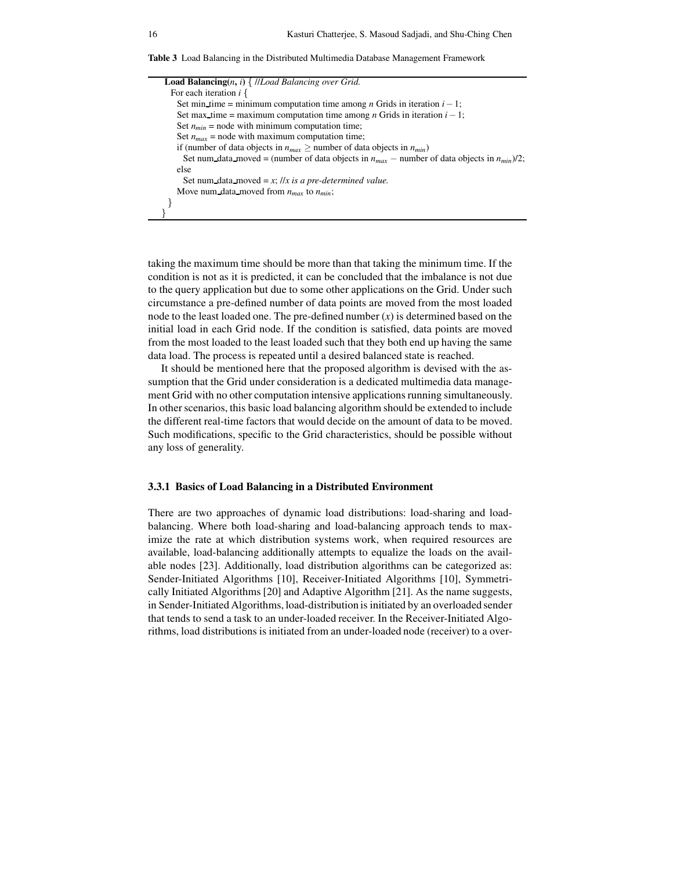**Table 3** Load Balancing in the Distributed Multimedia Database Management Framework

| <b>Load Balancing</b> $(n, i)$ { //Load Balancing over Grid.                                         |
|------------------------------------------------------------------------------------------------------|
| For each iteration $i \in$                                                                           |
| Set min_time = minimum computation time among <i>n</i> Grids in iteration $i - 1$ ;                  |
| Set max time = maximum computation time among <i>n</i> Grids in iteration $i - 1$ ;                  |
| Set $n_{min}$ = node with minimum computation time;                                                  |
| Set $n_{max}$ = node with maximum computation time;                                                  |
| if (number of data objects in $n_{max} >$ number of data objects in $n_{min}$ )                      |
| Set num_data_moved = (number of data objects in $n_{max}$ – number of data objects in $n_{min}$ )/2; |
| else                                                                                                 |
| Set num_data_moved = x; //x is a pre-determined value.                                               |
| Move num data moved from $n_{max}$ to $n_{min}$ ;                                                    |
|                                                                                                      |
|                                                                                                      |

taking the maximum time should be more than that taking the minimum time. If the condition is not as it is predicted, it can be concluded that the imbalance is not due to the query application but due to some other applications on the Grid. Under such circumstance a pre-defined number of data points are moved from the most loaded node to the least loaded one. The pre-defined number (*x*) is determined based on the initial load in each Grid node. If the condition is satisfied, data points are moved from the most loaded to the least loaded such that they both end up having the same data load. The process is repeated until a desired balanced state is reached.

It should be mentioned here that the proposed algorithm is devised with the assumption that the Grid under consideration is a dedicated multimedia data management Grid with no other computation intensive applications running simultaneously. In other scenarios, this basic load balancing algorithm should be extended to include the different real-time factors that would decide on the amount of data to be moved. Such modifications, specific to the Grid characteristics, should be possible without any loss of generality.

#### **3.3.1 Basics of Load Balancing in a Distributed Environment**

There are two approaches of dynamic load distributions: load-sharing and loadbalancing. Where both load-sharing and load-balancing approach tends to maximize the rate at which distribution systems work, when required resources are available, load-balancing additionally attempts to equalize the loads on the available nodes [23]. Additionally, load distribution algorithms can be categorized as: Sender-Initiated Algorithms [10], Receiver-Initiated Algorithms [10], Symmetrically Initiated Algorithms [20] and Adaptive Algorithm [21]. As the name suggests, in Sender-Initiated Algorithms, load-distribution is initiated by an overloaded sender that tends to send a task to an under-loaded receiver. In the Receiver-Initiated Algorithms, load distributions is initiated from an under-loaded node (receiver) to a over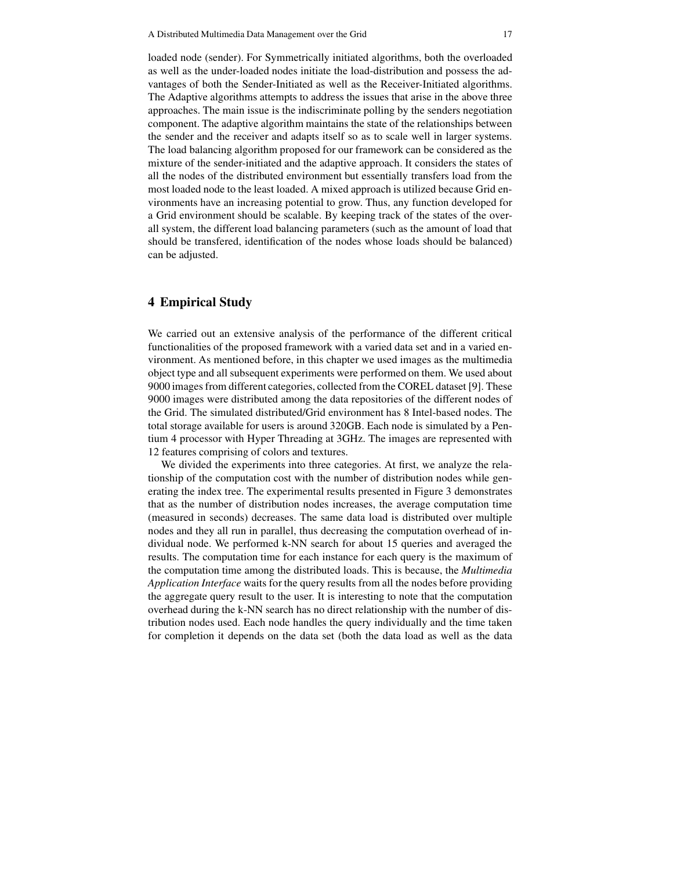loaded node (sender). For Symmetrically initiated algorithms, both the overloaded as well as the under-loaded nodes initiate the load-distribution and possess the advantages of both the Sender-Initiated as well as the Receiver-Initiated algorithms. The Adaptive algorithms attempts to address the issues that arise in the above three approaches. The main issue is the indiscriminate polling by the senders negotiation component. The adaptive algorithm maintains the state of the relationships between the sender and the receiver and adapts itself so as to scale well in larger systems. The load balancing algorithm proposed for our framework can be considered as the mixture of the sender-initiated and the adaptive approach. It considers the states of all the nodes of the distributed environment but essentially transfers load from the most loaded node to the least loaded. A mixed approach is utilized because Grid environments have an increasing potential to grow. Thus, any function developed for a Grid environment should be scalable. By keeping track of the states of the overall system, the different load balancing parameters (such as the amount of load that should be transfered, identification of the nodes whose loads should be balanced) can be adjusted.

# **4 Empirical Study**

We carried out an extensive analysis of the performance of the different critical functionalities of the proposed framework with a varied data set and in a varied environment. As mentioned before, in this chapter we used images as the multimedia object type and all subsequent experiments were performed on them. We used about 9000 images from different categories, collected from the COREL dataset [9]. These 9000 images were distributed among the data repositories of the different nodes of the Grid. The simulated distributed/Grid environment has 8 Intel-based nodes. The total storage available for users is around 320GB. Each node is simulated by a Pentium 4 processor with Hyper Threading at 3GHz. The images are represented with 12 features comprising of colors and textures.

We divided the experiments into three categories. At first, we analyze the relationship of the computation cost with the number of distribution nodes while generating the index tree. The experimental results presented in Figure 3 demonstrates that as the number of distribution nodes increases, the average computation time (measured in seconds) decreases. The same data load is distributed over multiple nodes and they all run in parallel, thus decreasing the computation overhead of individual node. We performed k-NN search for about 15 queries and averaged the results. The computation time for each instance for each query is the maximum of the computation time among the distributed loads. This is because, the *Multimedia Application Interface* waits for the query results from all the nodes before providing the aggregate query result to the user. It is interesting to note that the computation overhead during the k-NN search has no direct relationship with the number of distribution nodes used. Each node handles the query individually and the time taken for completion it depends on the data set (both the data load as well as the data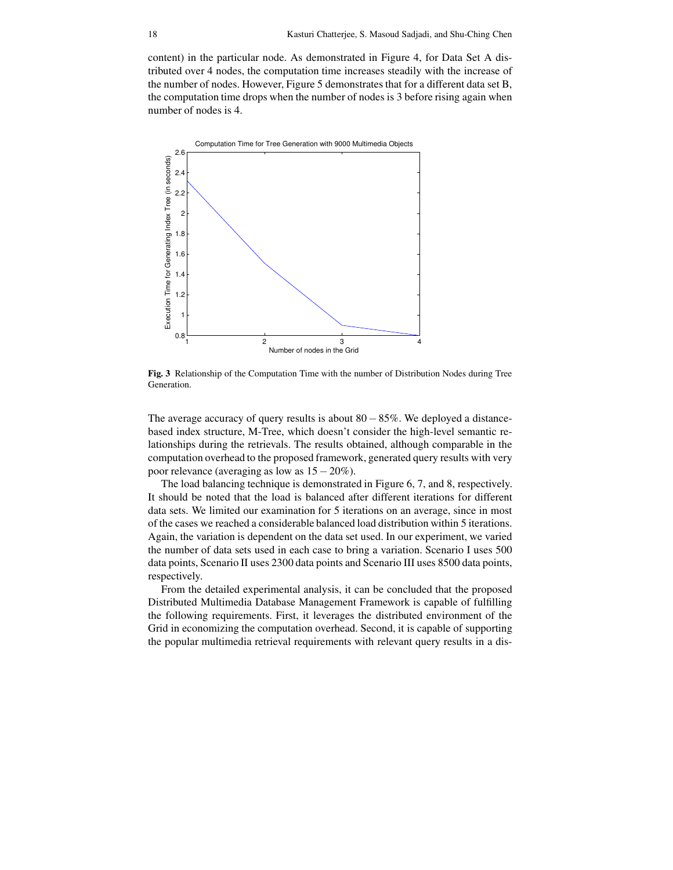content) in the particular node. As demonstrated in Figure 4, for Data Set A distributed over 4 nodes, the computation time increases steadily with the increase of the number of nodes. However, Figure 5 demonstrates that for a different data set B, the computation time drops when the number of nodes is 3 before rising again when number of nodes is 4.



**Fig. 3** Relationship of the Computation Time with the number of Distribution Nodes during Tree Generation.

The average accuracy of query results is about 80−85%. We deployed a distancebased index structure, M-Tree, which doesn't consider the high-level semantic relationships during the retrievals. The results obtained, although comparable in the computation overhead to the proposed framework, generated query results with very poor relevance (averaging as low as 15−20%).

The load balancing technique is demonstrated in Figure 6, 7, and 8, respectively. It should be noted that the load is balanced after different iterations for different data sets. We limited our examination for 5 iterations on an average, since in most of the cases we reached a considerable balanced load distribution within 5 iterations. Again, the variation is dependent on the data set used. In our experiment, we varied the number of data sets used in each case to bring a variation. Scenario I uses 500 data points, Scenario II uses 2300 data points and Scenario III uses 8500 data points, respectively.

From the detailed experimental analysis, it can be concluded that the proposed Distributed Multimedia Database Management Framework is capable of fulfilling the following requirements. First, it leverages the distributed environment of the Grid in economizing the computation overhead. Second, it is capable of supporting the popular multimedia retrieval requirements with relevant query results in a dis-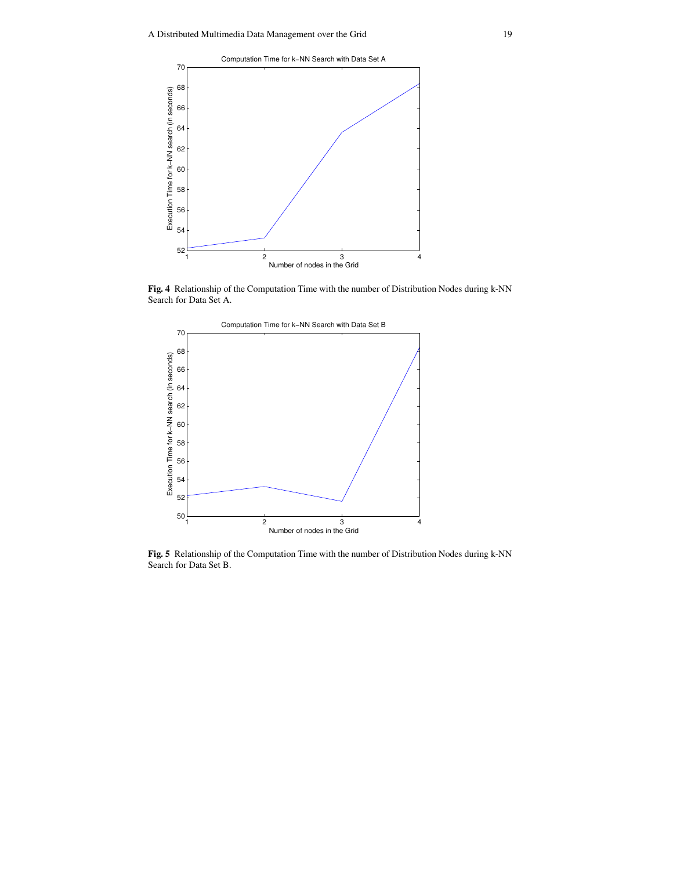

**Fig. 4** Relationship of the Computation Time with the number of Distribution Nodes during k-NN Search for Data Set A.



**Fig. 5** Relationship of the Computation Time with the number of Distribution Nodes during k-NN Search for Data Set B.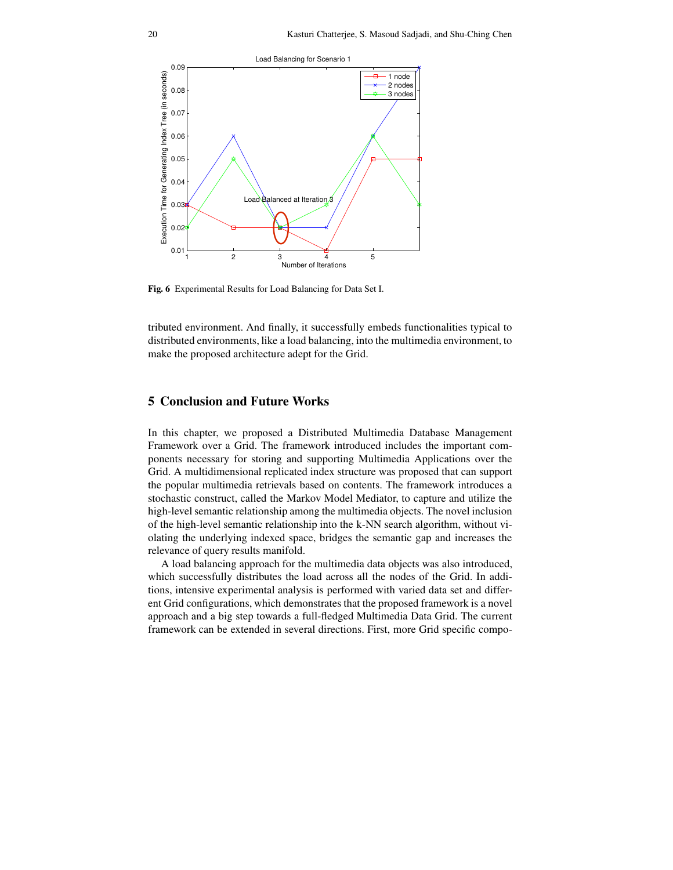

**Fig. 6** Experimental Results for Load Balancing for Data Set I.

tributed environment. And finally, it successfully embeds functionalities typical to distributed environments, like a load balancing, into the multimedia environment, to make the proposed architecture adept for the Grid.

# **5 Conclusion and Future Works**

In this chapter, we proposed a Distributed Multimedia Database Management Framework over a Grid. The framework introduced includes the important components necessary for storing and supporting Multimedia Applications over the Grid. A multidimensional replicated index structure was proposed that can support the popular multimedia retrievals based on contents. The framework introduces a stochastic construct, called the Markov Model Mediator, to capture and utilize the high-level semantic relationship among the multimedia objects. The novel inclusion of the high-level semantic relationship into the k-NN search algorithm, without violating the underlying indexed space, bridges the semantic gap and increases the relevance of query results manifold.

A load balancing approach for the multimedia data objects was also introduced, which successfully distributes the load across all the nodes of the Grid. In additions, intensive experimental analysis is performed with varied data set and different Grid configurations, which demonstrates that the proposed framework is a novel approach and a big step towards a full-fledged Multimedia Data Grid. The current framework can be extended in several directions. First, more Grid specific compo-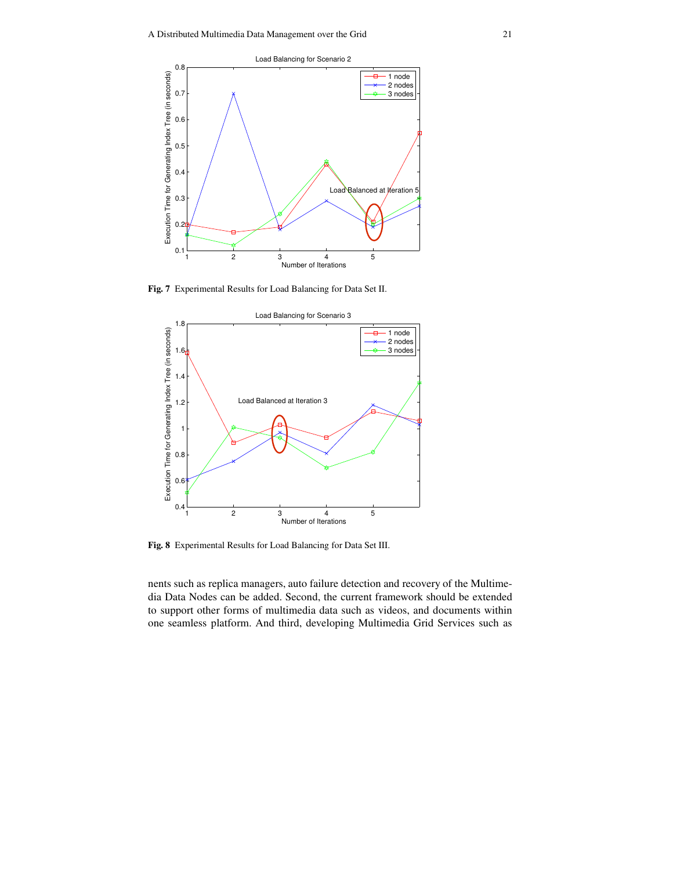

**Fig. 7** Experimental Results for Load Balancing for Data Set II.



**Fig. 8** Experimental Results for Load Balancing for Data Set III.

nents such as replica managers, auto failure detection and recovery of the Multimedia Data Nodes can be added. Second, the current framework should be extended to support other forms of multimedia data such as videos, and documents within one seamless platform. And third, developing Multimedia Grid Services such as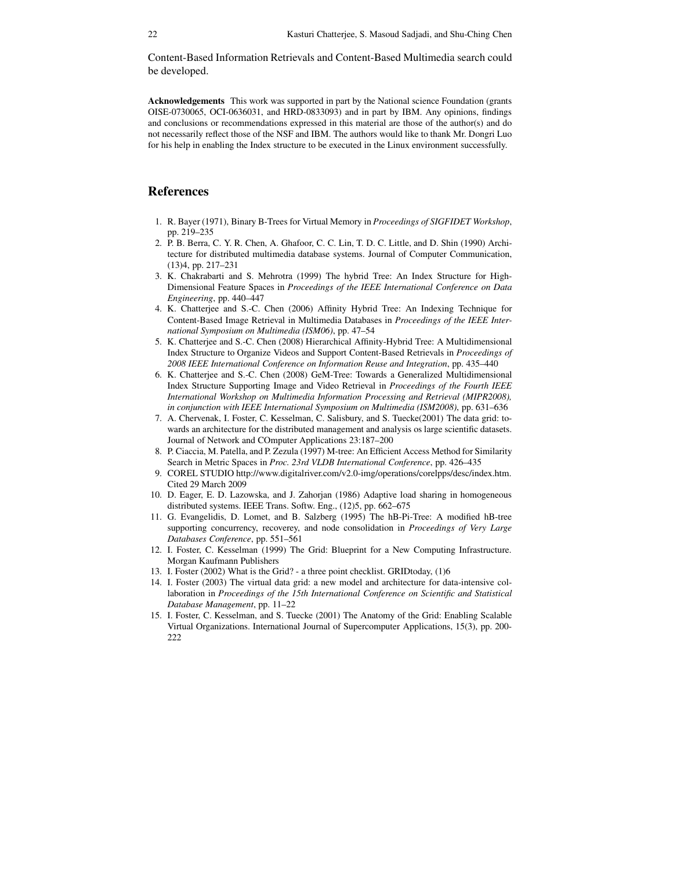Content-Based Information Retrievals and Content-Based Multimedia search could be developed.

**Acknowledgements** This work was supported in part by the National science Foundation (grants OISE-0730065, OCI-0636031, and HRD-0833093) and in part by IBM. Any opinions, findings and conclusions or recommendations expressed in this material are those of the author(s) and do not necessarily reflect those of the NSF and IBM. The authors would like to thank Mr. Dongri Luo for his help in enabling the Index structure to be executed in the Linux environment successfully.

## **References**

- 1. R. Bayer (1971), Binary B-Trees for Virtual Memory in *Proceedings of SIGFIDET Workshop*, pp. 219–235
- 2. P. B. Berra, C. Y. R. Chen, A. Ghafoor, C. C. Lin, T. D. C. Little, and D. Shin (1990) Architecture for distributed multimedia database systems. Journal of Computer Communication, (13)4, pp. 217–231
- 3. K. Chakrabarti and S. Mehrotra (1999) The hybrid Tree: An Index Structure for High-Dimensional Feature Spaces in *Proceedings of the IEEE International Conference on Data Engineering*, pp. 440–447
- 4. K. Chatterjee and S.-C. Chen (2006) Affinity Hybrid Tree: An Indexing Technique for Content-Based Image Retrieval in Multimedia Databases in *Proceedings of the IEEE International Symposium on Multimedia (ISM06)*, pp. 47–54
- 5. K. Chatterjee and S.-C. Chen (2008) Hierarchical Affinity-Hybrid Tree: A Multidimensional Index Structure to Organize Videos and Support Content-Based Retrievals in *Proceedings of 2008 IEEE International Conference on Information Reuse and Integration*, pp. 435–440
- 6. K. Chatterjee and S.-C. Chen (2008) GeM-Tree: Towards a Generalized Multidimensional Index Structure Supporting Image and Video Retrieval in *Proceedings of the Fourth IEEE International Workshop on Multimedia Information Processing and Retrieval (MIPR2008), in conjunction with IEEE International Symposium on Multimedia (ISM2008)*, pp. 631–636
- 7. A. Chervenak, I. Foster, C. Kesselman, C. Salisbury, and S. Tuecke(2001) The data grid: towards an architecture for the distributed management and analysis os large scientific datasets. Journal of Network and COmputer Applications 23:187–200
- 8. P. Ciaccia, M. Patella, and P. Zezula (1997) M-tree: An Efficient Access Method for Similarity Search in Metric Spaces in *Proc. 23rd VLDB International Conference*, pp. 426–435
- 9. COREL STUDIO http://www.digitalriver.com/v2.0-img/operations/corelpps/desc/index.htm. Cited 29 March 2009
- 10. D. Eager, E. D. Lazowska, and J. Zahorjan (1986) Adaptive load sharing in homogeneous distributed systems. IEEE Trans. Softw. Eng., (12)5, pp. 662–675
- 11. G. Evangelidis, D. Lomet, and B. Salzberg (1995) The hB-Pi-Tree: A modified hB-tree supporting concurrency, recoverey, and node consolidation in *Proceedings of Very Large Databases Conference*, pp. 551–561
- 12. I. Foster, C. Kesselman (1999) The Grid: Blueprint for a New Computing Infrastructure. Morgan Kaufmann Publishers
- 13. I. Foster (2002) What is the Grid? a three point checklist. GRIDtoday, (1)6
- 14. I. Foster (2003) The virtual data grid: a new model and architecture for data-intensive collaboration in *Proceedings of the 15th International Conference on Scientific and Statistical Database Management*, pp. 11–22
- 15. I. Foster, C. Kesselman, and S. Tuecke (2001) The Anatomy of the Grid: Enabling Scalable Virtual Organizations. International Journal of Supercomputer Applications, 15(3), pp. 200- 222